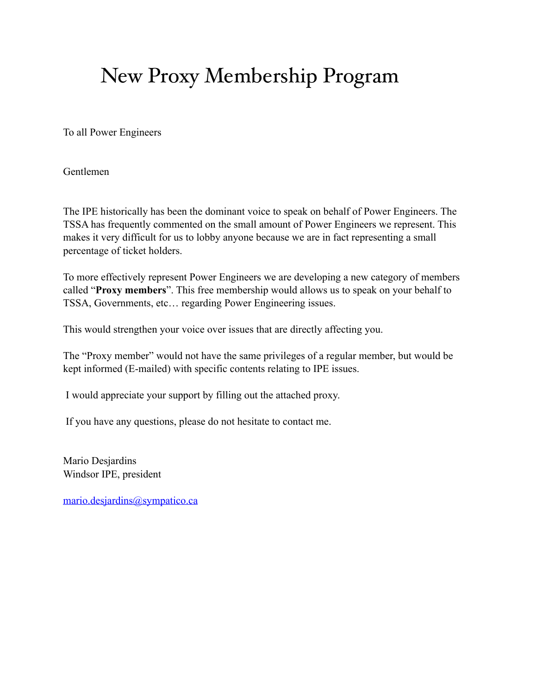## New Proxy Membership Program

To all Power Engineers

Gentlemen

The IPE historically has been the dominant voice to speak on behalf of Power Engineers. The TSSA has frequently commented on the small amount of Power Engineers we represent. This makes it very difficult for us to lobby anyone because we are in fact representing a small percentage of ticket holders.

To more effectively represent Power Engineers we are developing a new category of members called "**Proxy members**". This free membership would allows us to speak on your behalf to TSSA, Governments, etc… regarding Power Engineering issues.

This would strengthen your voice over issues that are directly affecting you.

The "Proxy member" would not have the same privileges of a regular member, but would be kept informed (E-mailed) with specific contents relating to IPE issues.

I would appreciate your support by filling out the attached proxy.

If you have any questions, please do not hesitate to contact me.

Mario Desjardins Windsor IPE, president

[mario.desjardins@sympatico.ca](mailto:mario.desjardins@sympatico.ca)